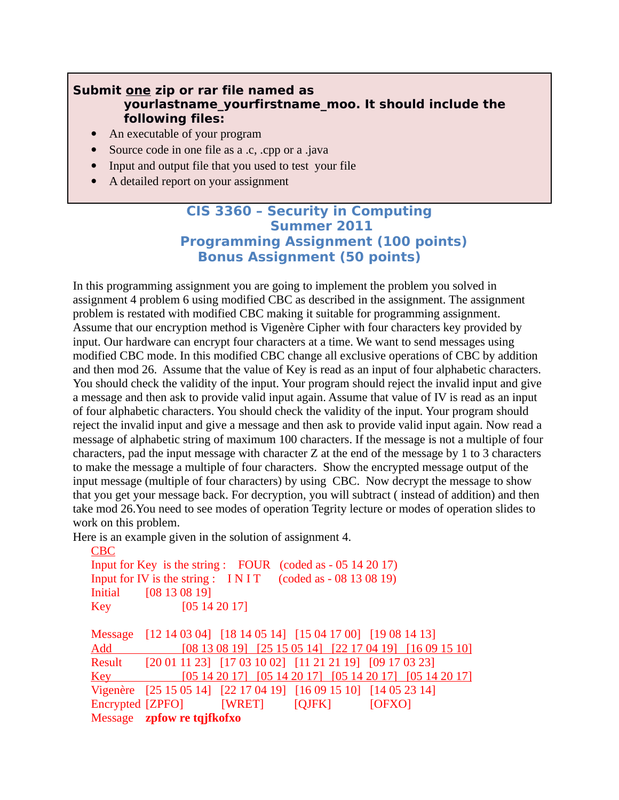## **Submit one zip or rar file named as yourlastname\_yourfirstname\_moo. It should include the following files:**

- An executable of your program
- Source code in one file as a .c, .cpp or a .java
- Input and output file that you used to test your file
- A detailed report on your assignment

# **CIS 3360 – Security in Computing Summer 2011 Programming Assignment (100 points) Bonus Assignment (50 points)**

In this programming assignment you are going to implement the problem you solved in assignment 4 problem 6 using modified CBC as described in the assignment. The assignment problem is restated with modified CBC making it suitable for programming assignment. Assume that our encryption method is Vigenère Cipher with four characters key provided by input. Our hardware can encrypt four characters at a time. We want to send messages using modified CBC mode. In this modified CBC change all exclusive operations of CBC by addition and then mod 26. Assume that the value of Key is read as an input of four alphabetic characters. You should check the validity of the input. Your program should reject the invalid input and give a message and then ask to provide valid input again. Assume that value of IV is read as an input of four alphabetic characters. You should check the validity of the input. Your program should reject the invalid input and give a message and then ask to provide valid input again. Now read a message of alphabetic string of maximum 100 characters. If the message is not a multiple of four characters, pad the input message with character Z at the end of the message by 1 to 3 characters to make the message a multiple of four characters. Show the encrypted message output of the input message (multiple of four characters) by using CBC. Now decrypt the message to show that you get your message back. For decryption, you will subtract ( instead of addition) and then take mod 26.You need to see modes of operation Tegrity lecture or modes of operation slides to work on this problem.

Here is an example given in the solution of assignment 4.

| <b>CBC</b>                                                 |                            |                                |                                                                                                                                                                                                         |        |  |  |
|------------------------------------------------------------|----------------------------|--------------------------------|---------------------------------------------------------------------------------------------------------------------------------------------------------------------------------------------------------|--------|--|--|
| Input for Key is the string: FOUR (coded as - 05 14 20 17) |                            |                                |                                                                                                                                                                                                         |        |  |  |
| Input for IV is the string: INIT (coded as - 08 13 08 19)  |                            |                                |                                                                                                                                                                                                         |        |  |  |
| <b>Initial</b>                                             | [08 13 08 19]              |                                |                                                                                                                                                                                                         |        |  |  |
| <b>Key</b> Key                                             | [05 14 20 17]              |                                |                                                                                                                                                                                                         |        |  |  |
|                                                            |                            |                                |                                                                                                                                                                                                         |        |  |  |
| Message                                                    |                            |                                | $[12 14 03 04]$ $[18 14 05 14]$ $[15 04 17 00]$ $[19 08 14 13]$                                                                                                                                         |        |  |  |
| Add                                                        |                            |                                | $[08 13 08 19]$ $[25 15 05 14]$ $[22 17 04 19]$ $[16 09 15 10]$                                                                                                                                         |        |  |  |
| Result                                                     |                            |                                | [20 01 11 23] [17 03 10 02] [11 21 21 19] [09 17 03 23]                                                                                                                                                 |        |  |  |
| <u>Key</u>                                                 |                            |                                | $\begin{bmatrix} 05 & 14 & 20 & 17 \end{bmatrix}$ $\begin{bmatrix} 05 & 14 & 20 & 17 \end{bmatrix}$ $\begin{bmatrix} 05 & 14 & 20 & 17 \end{bmatrix}$ $\begin{bmatrix} 05 & 14 & 20 & 17 \end{bmatrix}$ |        |  |  |
|                                                            |                            |                                | Vigenère [25 15 05 14] [22 17 04 19] [16 09 15 10] [14 05 23 14]                                                                                                                                        |        |  |  |
|                                                            |                            | Encrypted [ZPFO] [WRET] [QJFK] |                                                                                                                                                                                                         | [OFXO] |  |  |
|                                                            | Message zpfow re tqjfkofxo |                                |                                                                                                                                                                                                         |        |  |  |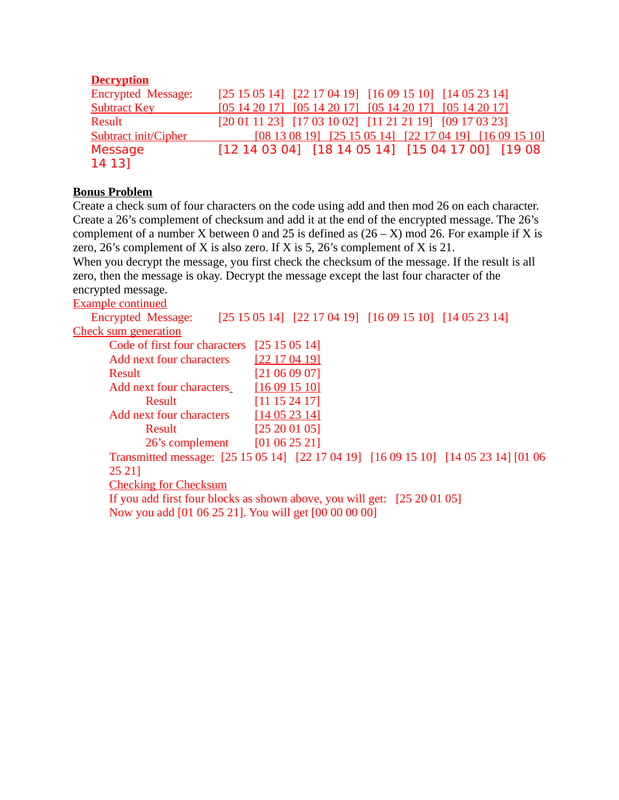## **Decryption**

| Encrypted Message:          | $[25 15 05 14]$ $[22 17 04 19]$ $[16 09 15 10]$ $[14 05 23 14]$                                                                                                                                         |
|-----------------------------|---------------------------------------------------------------------------------------------------------------------------------------------------------------------------------------------------------|
| <b>Subtract Key</b>         | [05 14 20 17] [05 14 20 17] [05 14 20 17] [05 14 20 17]                                                                                                                                                 |
| Result                      | $[20 01 11 23]$ $[17 03 10 02]$ $[11 21 21 19]$ $[09 17 03 23]$                                                                                                                                         |
| <b>Subtract init/Cipher</b> | $\begin{bmatrix} 08 & 13 & 08 & 19 \end{bmatrix}$ $\begin{bmatrix} 25 & 15 & 05 & 14 \end{bmatrix}$ $\begin{bmatrix} 22 & 17 & 04 & 19 \end{bmatrix}$ $\begin{bmatrix} 16 & 09 & 15 & 10 \end{bmatrix}$ |
| Message                     | $[12 14 03 04]$ $[18 14 05 14]$ $[15 04 17 00]$ $[19 08$                                                                                                                                                |
| 14 13]                      |                                                                                                                                                                                                         |

## **Bonus Problem**

Create a check sum of four characters on the code using add and then mod 26 on each character. Create a 26's complement of checksum and add it at the end of the encrypted message. The 26's complement of a number X between 0 and 25 is defined as  $(26 - X)$  mod 26. For example if X is zero, 26's complement of X is also zero. If X is 5, 26's complement of X is 21.

When you decrypt the message, you first check the checksum of the message. If the result is all zero, then the message is okay. Decrypt the message except the last four character of the encrypted message.

Example continued

Encrypted Message: [25 15 05 14] [22 17 04 19] [16 09 15 10] [14 05 23 14] Check sum generation Code of first four characters [25 15 05 14] Add next four characters [22 17 04 19] Result [21 06 09 07] Add next four characters [16 09 15 10] Result [11 15 24 17] Add next four characters [14 05 23 14] Result [25 20 01 05] 26's complement [01 06 25 21]

Transmitted message: [25 15 05 14] [22 17 04 19] [16 09 15 10] [14 05 23 14] [01 06 25 21]

Checking for Checksum

If you add first four blocks as shown above, you will get: [25 20 01 05] Now you add [01 06 25 21]. You will get [00 00 00 00]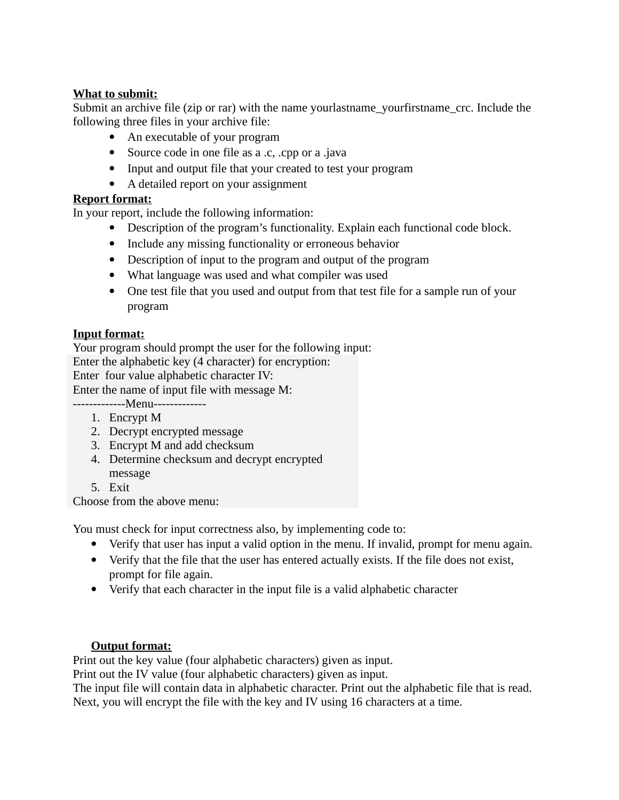## **What to submit:**

Submit an archive file (zip or rar) with the name yourlastname\_yourfirstname\_crc. Include the following three files in your archive file:

- An executable of your program
- Source code in one file as a .c, .cpp or a .java
- Input and output file that your created to test your program
- A detailed report on your assignment

## **Report format:**

In your report, include the following information:

- Description of the program's functionality. Explain each functional code block.
- Include any missing functionality or erroneous behavior
- Description of input to the program and output of the program
- What language was used and what compiler was used
- One test file that you used and output from that test file for a sample run of your program

## **Input format:**

Your program should prompt the user for the following input:

Enter the alphabetic key (4 character) for encryption:

Enter four value alphabetic character IV:

Enter the name of input file with message M:

-------------Menu------------- 1. Encrypt M

- 
- 2. Decrypt encrypted message 3. Encrypt M and add checksum
- 4. Determine checksum and decrypt encrypted
- message

5. Exit

Choose from the above menu:

You must check for input correctness also, by implementing code to:

- Verify that user has input a valid option in the menu. If invalid, prompt for menu again.
- Verify that the file that the user has entered actually exists. If the file does not exist, prompt for file again.
- Verify that each character in the input file is a valid alphabetic character

## **Output format:**

Print out the key value (four alphabetic characters) given as input.

Print out the IV value (four alphabetic characters) given as input.

The input file will contain data in alphabetic character. Print out the alphabetic file that is read. Next, you will encrypt the file with the key and IV using 16 characters at a time.